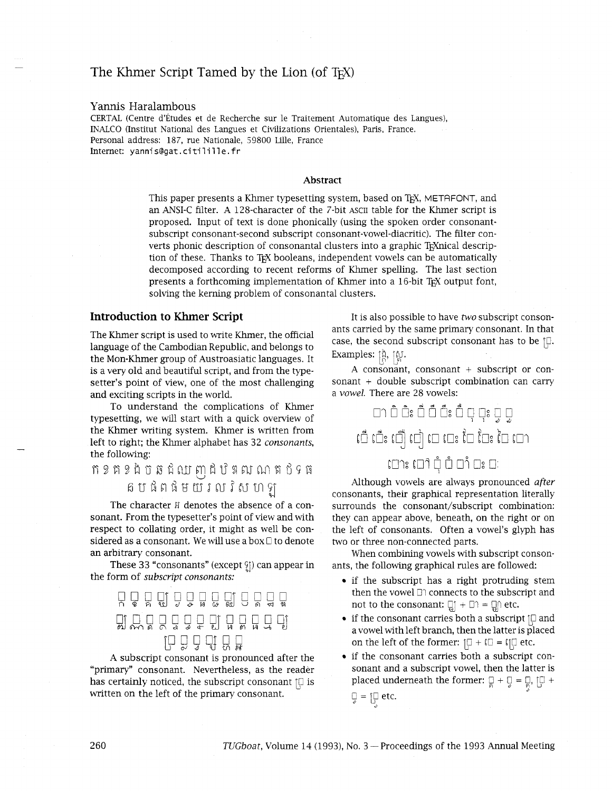# The Khmer Script Tamed by the Lion (of  $T<sub>F</sub>X$ )

#### Yannis Haralambous

CERTAL (Centre d'Études et de Recherche sur le Traitement Automatique des Langues), INALCO (Institut National des Langues et Civilizations Orientales), Paris, France. Personal address: 187, rue Nationale, 59800 Lille, France<br>Internet: yannis@gat.citilille.fr

#### Abstract

This paper presents a Khmer typesetting system, based on TEX, METAFONT, and an ANSI-C filter. A 128-character of the 7-bit ASCII table for the Khmer script is proposed. Input of text is done phonically (using the spoken order consonantsubscript consonant-second subscript consonant-vowel-diacritic). The filter converts phonic description of consonantal clusters into a graphic T<sub>E</sub>Xnical description of these. Thanks to TEX booleans, independent vowels can be automatically decomposed according to recent reforms of Khmer spelling. The last section presents a forthcoming implementation of Khmer into a 16-bit TFX output font, solving the kerning problem of consonantal clusters.

### **Introduction to Khmer Script**

The Khmer script is used to write Khmer, the official language of the Cambodian Republic, and belongs to the Mon-Khmer group of Austroasiatic languages. It is a very old and beautiful script, and from the typesetter's point of view, one of the most challenging and exciting scripts in the world.

To understand the complications of Khmer typesetting, we will start with a quick overview of the Khmer writing system. Khmer is written from left to right; the Khmer alphabet has 32 *consonants,*  the following:

# fiZ~Z~'L7~~~bT~~46~61\$1%iI?1~~  $6~$ បផិពផិមយ៍រលវិសហឡ

The character  $H$  denotes the absence of a consonant. From the typesetter's point of view and with respect to collating order, it might as well be considered as a consonant. We will use a box  $\Box$  to denote an arbitrary consonant.

These 33 "consonants" (except  $\S$ ) can appear in the form of *subscript consonants:* 



A subscript consonant is pronounced after the "primary" consonant. Nevertheless, as the reader has certainly noticed, the subscript consonant  $\lbrack\Box\rbrack$  is written on the left of the primary consonant.

It is also possible to have *two* subscript consonants carried by the same primary consonant. In that case, the second subscript consonant has to be  $\Box$ .  $\mathsf{Examples:} \; [\overset{\mathtt{A}}{\mathsf{R}}, \; [\overset{\mathtt{A}}{\mathsf{R}}].$ 

A consonant, consonant + subscript or consonant + double subscript combination can carry a *vowel.* There are 28 vowels:

# อา อ้ อ้ะ อื้ อื้ะ อื้ อุ อุะ อุ อุ ០ នេះ បាំ បា បា បា ប៉ែរ ប៉ែ

Although vowels are always pronounced *after*  consonants, their graphical representation literally surrounds the consonant/subscript combination: they can appear above, beneath, on the right or on the left of consonants. Often a vowel's glyph has two or three non-connected parts.

When combining vowels with subscript consonants, the following graphical rules are followed:

- if the subscript has a right protruding stem then the vowel  $\Box$  connects to the subscript and not to the consonant:  $\prod_{i=1}^{n} + \prod_{i=1}^{n}$  etc.
- if the consonant carries both a subscript  $\lbrack\Box$  and a vowel with left branch, then the latter is placed on the left of the former:  $\Box + \Box = \Box \Box$  etc.
- if the consonant carries both a subscript consonant and a subscript vowel, then the latter is placed underneath the former:  $\Box + \Box = \Box$ ,  $\Box +$ g = IG etc. *d*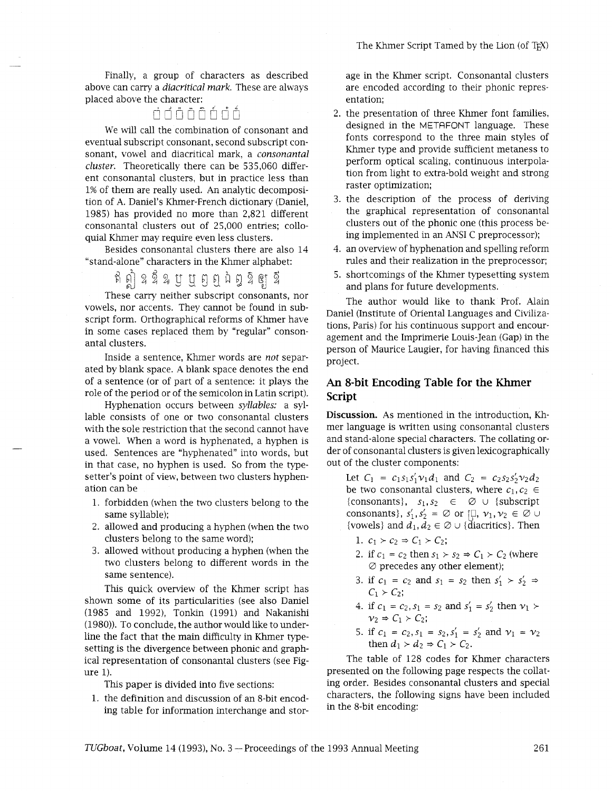Finally, a group of characters as described above can carry a *diacritical mark.* These are always placed above the character:

# ndöñfinn

We will call the combination of consonant and eventual subscript consonant, second subscript consonant, vowel and diacritical mark, a *consonantal cluster.* Theoretically there can be 535,060 different consonantal clusters, but in practice less than 1% of them are really used. An analytic decomposition of A. Daniel's Khmer-French dictionary (Daniel, 1985) has provided no more than 2,821 different consonantal clusters out of 25,000 entries; colloquial Khmer may require even less clusters.

Besides consonantal clusters there are also 14 "stand-alone" characters in the Khmer alphabet:

ឥឦ ឧឪិឌប្បម្រួល ជិត្ធិ <mark>តូ</mark> ខ្

These carry neither subscript consonants, nor vowels, nor accents. They cannot be found in subscript form. Orthographical reforms of Khmer have in some cases replaced them by "regular" consonantal clusters.

Inside a sentence, Khmer words are *not* separated by blank space. A blank space denotes the end of a sentence (or of part of a sentence: it plays the role of the period or of the semicolon in Latin script).

Hyphenation occurs between *syllables:* a syllable consists of one or two consonantal clusters with the sole restriction that the second cannot have a vowel. When a word is hyphenated, a hyphen is used. Sentences are "hyphenated" into words, but in that case, no hyphen is used. So from the typesetter's point of view, between two clusters hyphenation can be

- 1. forbidden (when the two clusters belong to the same syllable);
- 2. allowed and producing a hyphen (when the two clusters belong to the same word);
- 3. allowed without producing a hyphen (when the two clusters belong to different words in the same sentence).

This quick overview of the Khmer script has shown some of its particularities (see also Daniel (1985 and 1992), Tonkin (1991) and Nakanishi (1980)). To conclude, the author would like to underline the fact that the main difficulty in Khmer typesetting is the divergence between phonic and graphical representation of consonantal clusters (see Figure 1).

This paper is divided into five sections:

1. the definition and discussion of an 8-bit encoding table for information interchange and storage in the Khmer script. Consonantal clusters are encoded according to their phonic representation;

- 2. the presentation of three Khmer font families, designed in the METAFONT language. These fonts correspond to the three main styles of Khmer type and provide sufficient metaness to perform optical scaling, continuous interpolation from light to extra-bold weight and strong raster optimization;
- 3. the description of the process of deriving the graphical representation of consonantal clusters out of the phonic one (this process being implemented in an ANSI C preprocessor);
- an overview of hyphenation and spelling reform rules and their realization in the preprocessor;
- shortcomings of the Khmer typesetting system and plans for future developments.

The author would like to thank Prof. Alain Daniel (Institute of Oriental Languages and Civilizations, Paris) for his continuous support and encouragement and the Imprimerie Louis-Jean (Gap) in the person of Maurice Laugier, for having financed this project.

# **An 8-bit Encoding Table for the Khmer Script**

**Discussion.** As mentioned in the introduction, Khmer language is written using consonantal clusters and stand-alone special characters. The collating order of consonantal clusters is given lexicographically out of the cluster components:

Let  $C_1 = c_1 s_1 s_1' v_1 d_1$  and  $C_2 = c_2 s_2 s_2' v_2 d_2$ be two consonantal clusters, where  $c_1, c_2 \in$ {consonants},  $s_1, s_2 \in \emptyset \cup \{subscript$ consonants},  $s'_1$ ,  $s'_2 = \emptyset$  or  $[\Box, \nu_1, \nu_2 \in \emptyset \cup$ {vowels} and  $d_1, d_2 \in \emptyset \cup \{ \text{diacritics} \}$ . Then

- 1.  $c_1 > c_2 \Rightarrow C_1 > C_2;$
- 2. if  $c_1 = c_2$  then  $s_1 > s_2 \Rightarrow C_1 > C_2$  (where  $\varnothing$  precedes any other element);
- 3. if  $c_1 = c_2$  and  $s_1 = s_2$  then  $s'_1 > s'_2 \Rightarrow$  $C_1 \succ C_2$ ;
- 4. if  $c_1 = c_2, s_1 = s_2$  and  $s'_1 = s'_2$  then  $v_1 >$  $v_2 \Rightarrow C_1 \succ C_2;$
- 5. if  $c_1 = c_2, s_1 = s_2, s'_1 = s'_2$  and  $v_1 = v_2$ <br>then  $d_1 > d_2 \Rightarrow C_1 > C_2$ .

The table of 128 codes for Khmer characters presented on the following page respects the collating order. Besides consonantal clusters and special characters, the following signs have been included in the 8-bit encoding: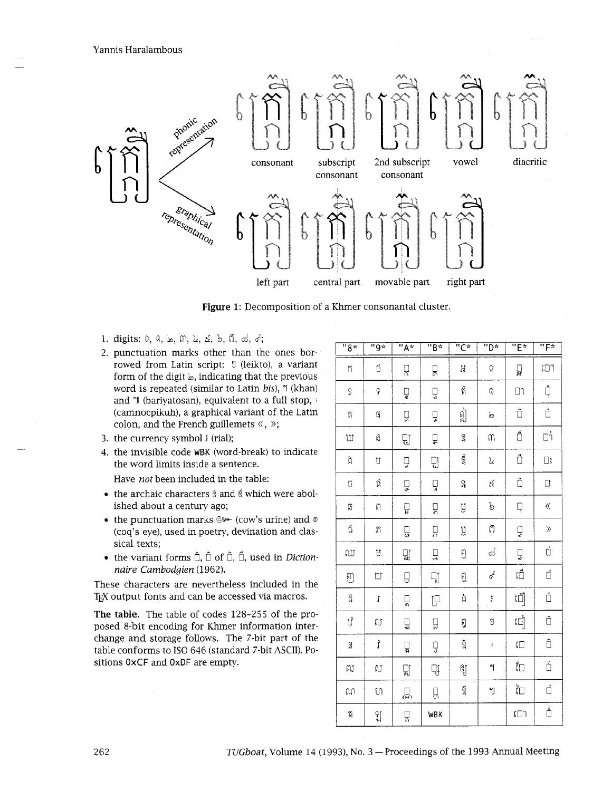Yannis Haralambous



**Figure 1:** Decomposition of a Khmer consonantal cluster.

- 1. digits: 0, *0,* h, *6n, L,* **6.** *3, 0, d,* d;
- 2. punctuation marks other than the ones borrowed from Latin script: **9** (lelkto), a variant form of the digit  $\mathbf{b}$ , indicating that the previous word is repeated (simdar to Latin *bid,* **Y** (khan) and  $\mathcal{A}$  (bariyatosan), equivalent to a full stop,  $\mathcal{A}$ (camnocpikuh), a graphical variant of the Latin colon, and the French guillemets «, »;
- 3. the currency symbol **f** (rial);
- 4. the invisible code WBK (word-break) to indicate the word limits inside a sentence.

Have *not* been included in the table:

- the archaic characters  $\frac{1}{2}$  and  $\frac{3}{2}$  which were abolished about a century ago;
- the punctuation marks  $\mathbb{Q}^*$  (cow's urine) and  $\circ$ (coq's eye), used in poetry, devination and classical texts;
- the variant forms  $\hat{\mathbb{D}}$ ,  $\hat{\mathbb{D}}$  of  $\hat{\mathbb{D}}$ ,  $\hat{\mathbb{D}}$ , used in *Dictionnaire Cambodgien* (1962).

These characters are nevertheless included in the T<sub>EX</sub> output fonts and can be accessed via macros.

The **table.** The table of codes 128-255 of the proposed 8-bit encoding for Khmer information interchange and storage follows. The 7-bit part of the table conforms to IS0 646 (standard 7-bit ASCII). Positions OxCF and OxDF are empty.

| $\overline{5}$ | ∗و"            | $\overline{\mathsf{H}_{\mathsf{A}^{\pi}}}$ | $\overline{\mathbf{B}^*}$ | ∗ی"      | $\overline{P}$           | "E*       | "F*                |
|----------------|----------------|--------------------------------------------|---------------------------|----------|--------------------------|-----------|--------------------|
| $\uparrow$     | បំ             | ្ត                                         | 只                         | Ħ        | $\Diamond$               | ្អ្ន      | ោ                  |
| $\mathcal{D}$  | ç              | Ų                                          | ų                         | ลี       | Q)                       | $\Box$    | Å                  |
| $\uparrow$     | ធ្             | ប្ព                                        | Ų                         | ผู้      | ط                        | Ò         | $\mathring{\Box}$  |
| ឃ              | $\mathfrak{g}$ | Qĵ                                         | ₽                         | 2        | M                        | Ŏ         | اُ⊡ُ               |
| ង៉             | Ù              | Ų                                          | 밉                         | ĝ        | λ                        | Ő         | $\square$          |
| Ű              | 馅              | ų                                          | ្អូ                       | 2        | $\mathcal{E}$            | Ő         | $\Box$             |
| ឆ              | ฅ              | ្ឋូ                                        | ្គ្រ                      | ÿ        | p                        | ģ         | $\langle\!\langle$ |
| $\vec{\Omega}$ | ກ              | ္ဗ                                         | ្ក្រ                      | IJ       | ฟ้                       | ç         | $\rangle$          |
| ឈ              | Ą              | Q)<br>ad                                   | ГŤ                        | ឭ        | ය                        | Ų         | ņ.                 |
| E)             | Ľ              | g                                          | IJ                        | ฎ        | $\mathcal{P}^{\text{O}}$ | បើ        | đ                  |
| ĥ              | $\mathfrak f$  | ្គ្រ                                       | <b>IP</b>                 | 'n       | f                        | បឿ        | å                  |
| ป์             | ល              | ្ន                                         | ñ                         | ฎ        | J                        | បៀ        | Ô                  |
| g              | م<br>ر         | ្ធ                                         | Ų                         | $\delta$ | ŧ                        | $\Box$    | Ô                  |
| ស              | ស              | 밃                                          | ĘĮ                        | ឳ្យ      | y                        | <b>ហៃ</b> | á                  |
| $\Omega$       | ហ              | ្ណ                                         | 딦                         | ş        | Y                        | ិប        | ά                  |
| $\beta$        | مو<br>مو       | ្អ                                         | <b>WBK</b>                |          |                          | $\Box$    | á                  |

262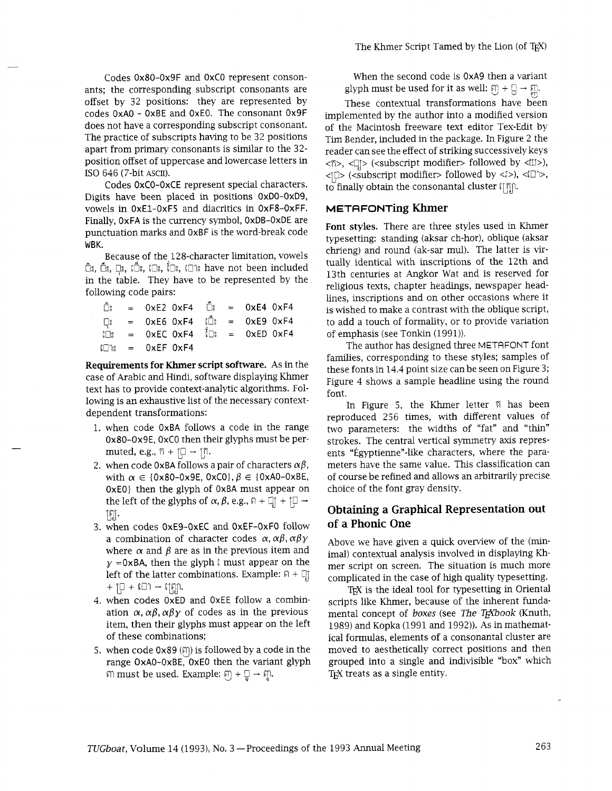Codes 0x80-Ox9F and OxCO represent consonants; the correspondmg subscript consonants are offset by 32 positions: they are represented by codes OxAO - OxBE and OxEO. The consonant Ox9F does not have a corresponding subscript consonant. The practice of subscripts having to be 32 positions apart from primary consonants is similar to the 32 position offset of uppercase and lowercase letters in IS0 646 (7-bit ASCII).

Codes OxCO-OxCE represent special characters. Digits have been placed in positions 0x00-OxD9, vowels in OxE1-OxF5 and dacritics in OxF8-OxFF. Finally, OxFA is the currency symbol, OxDB-OxDE are punctuation marks and OxBF is the word-break code WBK.

Because of the 128-character limitation, vowels ີ່ບໍຣ, ບໍຣ, ເມື,, ເບືອ,, ເບົາ, ເພາະ have not been included in the table. They have to be represented by the following code pairs:

|  | $\hat{\Box}$ : = 0xE2 0xF4 $\hat{\Box}$ : = 0xE4 0xF4               |  |  |
|--|---------------------------------------------------------------------|--|--|
|  | $\Box$ = 0xE6 0xF4 $\Box$ = 0xE9 0xF4                               |  |  |
|  | $\overrightarrow{L}$ : = 0xEC 0xF4 $\overrightarrow{L}$ = 0xED 0xF4 |  |  |
|  | $\Box$ = $0 \times EF$ $0 \times F4$                                |  |  |

Requirements for Khmer script software. As in the case of Arabic and Hindi, software displaying Khmer text has to provide context-analytic algorithms. Following is an exhaustive list of the necessary contextdependent transformations:

- when code OxBA follows a code in the range 0x80-0x9E, 0xC0 then their glyphs must be permuted, e.g.,  $\hat{n} + [\Box \rightarrow \hat{n}].$
- 2. when code  $0xBA$  follows a pair of characters  $\alpha\beta$ , with  $\alpha \in \{0x80-0x9E, 0xC0\}, \beta \in \{0xA0-0xBE,$ OxEO} then the glyph of OxBA must appear on the left of the glyphs of  $\alpha$ ,  $\beta$ , e.g.,  $\beta$  +  $\Box$  +  $\Box$  - $\lceil \frac{6}{16} \rceil$  .
- when codes OxE9-OxEC and OxEF-OxFO follow a combination of character codes  $\alpha$ ,  $\alpha\beta$ ,  $\alpha\beta\gamma$ where  $\alpha$  and  $\beta$  are as in the previous item and  $y = 0xBA$ , then the glyph  $\int$  must appear on the left of the latter combinations. Example:  $\mathfrak{g}$  +  $\mathbb{Q}$ <sub>I</sub>  $+$  [O +  $10$ ]  $\rightarrow$   $10$ ]).
- when codes OxED and OxEE follow a combination  $\alpha$ ,  $\alpha\beta$ ,  $\alpha\beta\gamma$  of codes as in the previous item, then their glyphs must appear on the left of these combinations;
- 5. when code  $0x89$  ( $\text{m}$ ) is followed by a code in the range OxAO-OxBE, OxEO then the variant glyph  $m$  must be used. Example:  $m + \overline{a} \rightarrow m$ .

When the second code is OxA9 then a variant glyph must be used for it as well:  $\mathfrak{Y} + \mathfrak{Y} \rightarrow \mathfrak{Y}$ .

These contextual transformations have been implemented by the author into a modified version of the Macintosh freeware text editor Tex-Edit by Tim Bender, included in the package. In Figure 2 the reader can see the effect of striking successively keys <fi>, < $\Box$ > (<subscript modifier> followed by < $\Box$ ),  $\langle \text{L} \rangle$  ( $\langle \text{subscript modifier} \rangle$  followed by  $\langle \text{L} \rangle$ ),  $\langle \text{L} \rangle$ , to finally obtain the consonantal cluster  $\lim_{h \to 0}$ .

#### **METAFONTing Khmer**

Font styles. There are three styles used in Khmer typesetting: standing (aksar ch-hor), oblique (aksar chrieng) and round (ak-sar mul). The latter is virtually identical with inscriptions of the 12th and 13th centuries at Angkor Wat and is reserved for religious texts, chapter headings, newspaper headlines, inscriptions and on other occasions where it is wished to make a contrast with the oblique script, to add a touch of formality, or to provide variation of emphasis (see Tonkin (1991)).

The author has designed three METAFONT font families, corresponding to these styles; samples of these fonts in 14.4 point size can be seen on Figure 3; Figure 4 shows a sample headline using the round font.

In Figure 5, the Khmer letter  $\hat{p}$  has been reproduced 256 times, with different values of two parameters: the widths of "fat" and "thin" strokes. The central vertical symmetry axis represents "Egyptienne"-like characters, where the parameters have the same value. This classification can of course be refined and allows an arbitrarily precise choice of the font gray density.

# **Obtaining a Graphical Representation out of a Phonic One**

Above we have given a quick overview of the (minimal) contextual analysis involved in displaying Khmer script on screen. The situation is much more complicated in the case of high quality typesetting.

TEX is the ideal tool for typesetting in Oriental scripts like Khmer, because of the inherent fundamental concept of boxes (see The TEXbook (Knuth, 1989) and Kopka (1991 and 1992)). As in mathematical formulas, elements of a consonantal cluster are moved to aesthetically correct positions and then grouped into a single and indivisible "box" whch T<sub>EX</sub> treats as a single entity.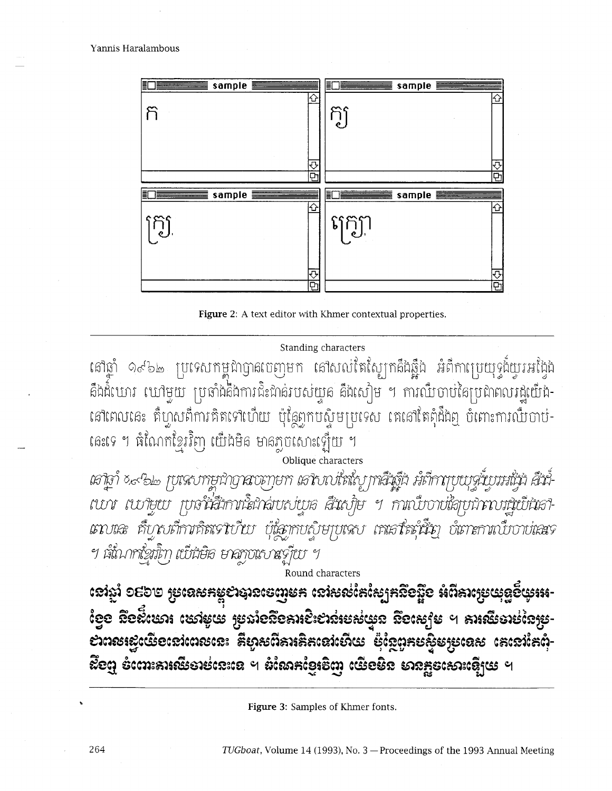

**Figure 2:** A text editor with Khmer contextual properties.

# Standing characters

នៅឆ្នាំ ១៩៦๒ ប្រទេសកម្ពុជាឭា៨ចេញមក នៅសល់តែស្បែកគឹងឆ្អឹង អំពីកាប្រេយុទ្ទង៏យូរអង្វែង គឹងដំំឃោរ ឃៅមួយ ប្រឆាំងគឺងការជិះជាន់របស់យួន គឹងសៀម ។ ការឈឺបាប់នៃប្រជាពលរដ្ឋយើង-នៅពេលនេះ គឺហ្វូសពីការគិតទៅហើយ ប៉ុន្តែពុកបស៊ូមប្រទេស គេនៅតែពុំដឹងឮ បំពោះការឈឺបាប់-ពេះទេ ។ ធំណែកខ្មែរវិញ យើងមិន មានភ្លុបសោះឡើយ ។

Oblique characters

เสโฐา์ ×๙๖๒ ruนขาพยนิกตาลงตุกุยท เสโขเบเัลใญ ทาผื้นหึ้น มั่นทางบบจุนบุมมั่น ผื้นม เบา เบายบ พูลำสึกานิยาล์เบญ่อ สึนญิษ ฯ กาณึบางสิคุทางมนิย์นิเลา-เถบเละ คืบจบก็กากลิสเจาบ้าย ผู้เลากบญิษกุผลบ เลเอาใสต์นี้ยา อัเกาะกาณบิบาบเลขจ ฯ เม็นากข้อมู่ิกา เบียอิฮ ยาลกุงเธบหรู้เบ ฯ

Round characters

**too** +I **Ee&zrslo c&s& 7J ~edoEomrh&&e&css~ 4 bc~sg's** .I **ms&a&Es~sbanss~c&cdcanscr d i%asfimrts;cdet% 2J &fr?aae&s~ecas r rcu <sup>4</sup>c~cd&)-**   $\vec{x}$ ខេញ ខំណេះគារឈឺមាន់នេះនេ ។ ដំណែកខ្មែរទិញ យើខមិន មានភ្នួនសោះឡើមេ ។

**<sup>b</sup>Figure 3:** Samples of Khmer fonts.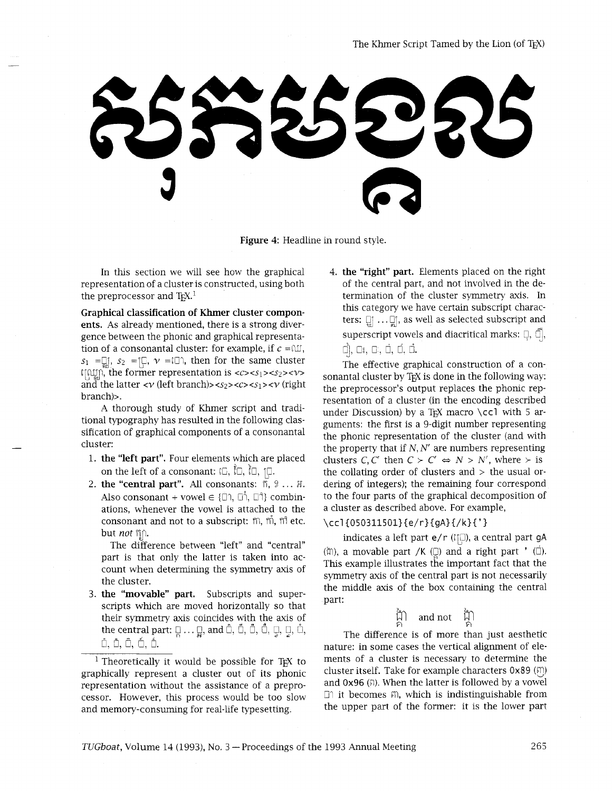Figure 4: Headline in round style.

In this section we will see how the graphical representation of a cluster is constructed, using both the preprocessor and  $Tr X<sup>1</sup>$ .

Graphical classification of Khmer cluster components. As already mentioned, there is a strong divergence between the phonic and graphical representation of a consonantal cluster: for example, if  $c = \infty$ ,  $s_1 = \Box$ ,  $s_2 = \Box$ ,  $v = \Box$ , then for the same cluster  $\lim_{x \to \infty}$ , the former representation is < $\cos 1$ >< $\sin 2$ >>> and the latter  $\langle \nu \rangle$  (left branch)> $\langle s_2 \rangle \langle c \rangle \langle s_1 \rangle \langle \nu \rangle$  (right branch)>.

A thorough study of Khmer script and traditional typography has resulted in the following classification of graphical components of a consonantal cluster:

- 1. the "left part". Four elements which are placed on the left of a consonant:  $\Box$ ,  $\Box$ ,  $\Box$ ,  $\Box$ .
- 2. the "central part". All consonants:  $\tilde{m}$ , 2...  $\tilde{m}$ . Also consonant + vowel  $\in$  { $\Box$ ,  $\Box$ ,  $\Box$ } combinations, whenever the vowel is attached to the consonant and not to a subscript:  $m$ ,  $\dot{m}$ ,  $\dot{m}$  etc. but *not*  $\hat{\mathbb{B}}$ .

The difference between "left" and "central" part is that only the latter is taken into account when determining the symmetry axis of the cluster.

3. the "movable" part. Subscripts and superscripts which are moved horizontally so that their symmetry axis coincides with the axis of the central part:  $\Box$  ...  $\Box$ , and  $\Box$ ,  $\Box$ ,  $\Box$ ,  $\Box$ ,  $\Box$ ,  $\Box$ ,  $\Box$ ,  $\Box$ , ö, ô, ô, ó, ó*.* 

<sup>1</sup> Theoretically it would be possible for T<sub>E</sub>X to graphically represent a cluster out of its phonic representation without the assistance of a preprocessor. However, this process would be too slow and memory-consuming for real-life typesetting.

4. the "right" part. Elements placed on the right of the central part, and not involved in the determination of the cluster symmetry axis. In this category we have certain subscript characters:  $\Box$  ... $\Box$  as well as selected subscript and superscript vowels and diacritical marks:  $\Box$ ,  $\Box$ , cj, *0:.* G, d, **d,** d.

The effective graphical construction of a consonantal cluster by T<sub>F</sub>X is done in the following way: the preprocessor's output replaces the phonic representation of a cluster (in the encoding described under Discussion) by a T<sub>E</sub>X macro \ccl with 5 arguments: the first is a 9-digit number representing the phonic representation of the cluster (and with the property that if  $N, N'$  are numbers representing clusters *C*, *C'* then  $C > C' \Leftrightarrow N > N'$ , where  $>$  is the collating order of clusters and  $>$  the usual ordering of integers); the remaining four correspond to the four parts of the graphical decomposition of a cluster as described above. For example,

#### **\ccl{0503115Ol}{e/r}{gA}{/k}{'}**

indicates a left part e/r ( $\lceil \ln(1) \rceil$ ), a central part gA  $(\hat{\mu})$ , a movable part /K ( $\square$ ) and a right part ' ( $\square$ ). Ths example illustrates the important fact that the symmetry axis of the central part is not necessarily the middle axis of the box containing the central part:

$$
\bigoplus_{\widehat{P_1}}^{\widehat{f}_2}
$$
 and not 
$$
\bigoplus_{\widehat{P_1}}^{\widehat{f}_2}
$$

The difference is of more than just aesthetic nature: in some cases the vertical alignment of elements of a cluster is necessary to determine the cluster itself. Take for example characters  $0 \times 89$  ( $\textcircled{1}$ ) and  $0x96$  ( $\beta$ ). When the latter is followed by a vowel GI it becomes *6n,* whch is indistinguishable from the upper part of the former: it is the lower part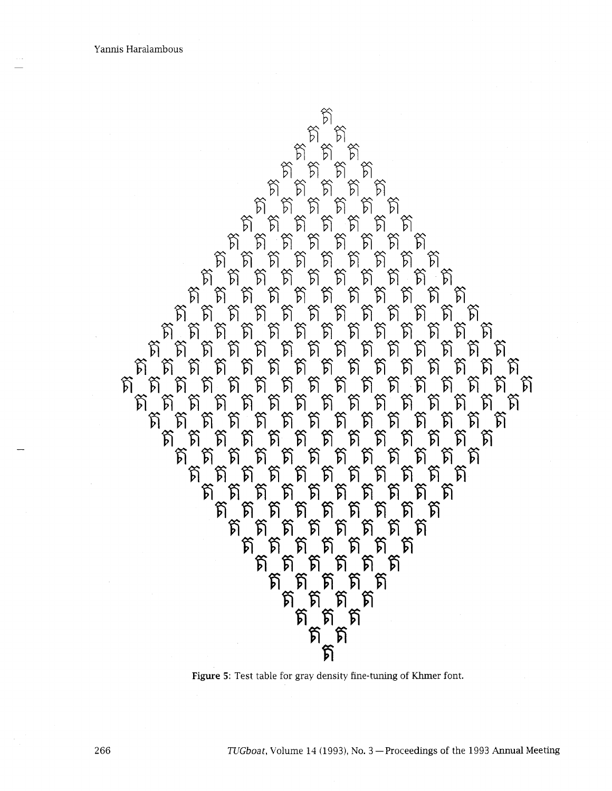

Figure 5: Test table for gray density fine-tuning of Khmer font.

*TUGboat, Volume 14 (1993), No. 3 - Proceedings of the 1993 Annual Meeting*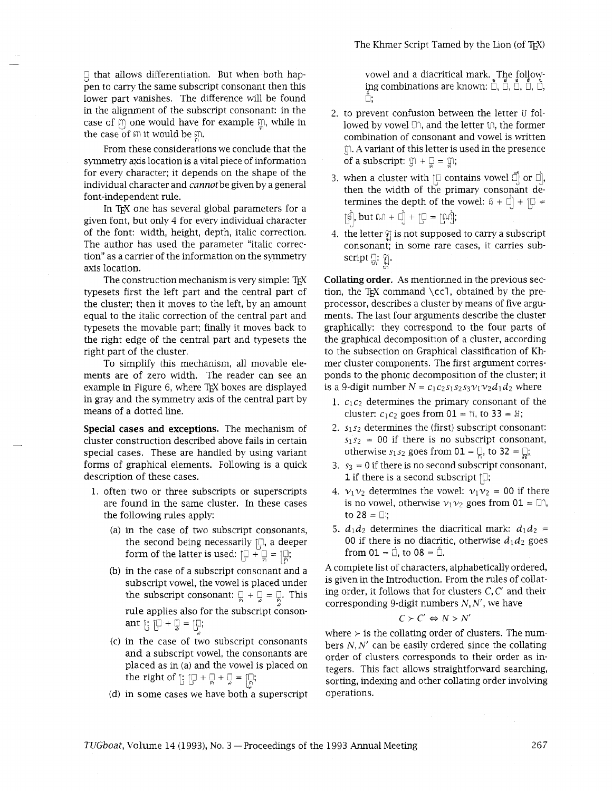$\Box$  that allows differentiation. But when both happen to carry the same subscript consonant then ths lower part vanishes. The difference will be found in the alignment of the subscript consonant: in the case of  $m$  one would have for example  $m$ , while in the case of  $m$  it would be  $m$ .

From these considerations we conclude that the symmetry axis location is a vital piece of information for every character; it depends on the shape of the individual character and *cannot* be given by a general font-independent rule.

In T<sub>EX</sub> one has several global parameters for a given font, but only 4 for every individual character of the font: width, height, depth, italic correction. The author has used the parameter "italic correction" as a carrier of the information on the symmetry axis location.

The construction mechanism is very simple: TFX typesets first the left part and the central part of the cluster; then it moves to the left, by an amount equal to the italic correction of the central part and typesets the movable part; finally it moves back to the right edge of the central part and typesets the right part of the cluster.

To simplify this mechanism, all movable elements are of zero width. The reader can see an example in Figure 6, where  $T_FX$  boxes are displayed in gray and the symmetry axis of the central part by means of a dotted line.

**Special cases and exceptions.** The mechanism of cluster construction described above fails in certain special cases. These are handled by using variant forms of graphical elements. Following is a quick description of these cases.

- 1. often two or three subscripts or superscripts are found in the same cluster. In these cases the following rules apply:
	- (a) in the case of two subscript consonants, the second being necessarily  $[\Box]$ , a deeper form of the latter is used:  $\left[\Box + \Box\right] = \left[\Box\right]$ ;
	- (b) in the case of a subscript consonant and a subscript vowel, the vowel is placed under the subscript consonant:  $\Box + \Box = \Box$ . This rule applies also for the subscript  $\check{\mathrm{con}}$ sonant  $\lim_{\omega} f : \lim_{\omega} f \to \lim_{\omega} f$
	- (c) in the case of two subscript consonants and a subscript vowel, the consonants are placed as in (a) and the vowel is placed on the right of  $\left[\frac{1}{2} \left(0 + \frac{1}{2} + \frac{1}{2}\right) = \left[\frac{1}{8}\right]\right]$ ;<br>(d) in some cases we have both a superscript
	-

vowel and a diacritical mark. The following combinations are known: பீ, பீ, பீ, பீ, பீ, Ô:

- 2. to prevent confusion between the letter U followed by vowel  $\Box$ ?, and the letter  $\Box$ , the former combination of consonant and vowel is written *g.* A variant of ths letter is used in the presence of a subscript:  $\hat{y} + \hat{y} = \hat{y}$ ;
- 3. when a cluster with  $\left[\right]$  contains vowel  $\left[\right]$  or  $\left[\right]$ , then the width of the primary consonant determines the depth of the vowel:  $6 + \vec{0} + \vec{0} =$  $[\hat{\beta}]$ , but  $\Omega \Omega + \Box \hat{\beta} + [\Box \hat{\beta}] = [\Omega \hat{\beta}]$ ;
- 4. the letter  $\frac{6}{3}$  is not supposed to carry a subscript consonant; in some rare cases, it carries sub**script 2: g**.

**Collating order.** As mentionned in the previous section, the TEX command  $\cc$ . obtained by the preprocessor, describes a cluster by means of five arguments. The last four arguments describe the cluster graphically: they correspond to the four parts of the graphical decomposition of a cluster, according to the subsection on Graphical classification of Khmer cluster components. The first argument corresponds to the phonic decomposition of the cluster; it is a 9-digit number  $N = c_1c_2s_1s_2s_3v_1v_2d_1d_2$  where

- 1.  $c_1c_2$  determines the primary consonant of the cluster:  $c_1c_2$  goes from  $01 = \hat{n}$ , to  $33 = \hat{h}$ ;
- **2. 3132** determines the (first) subscript consonant:  $s_1s_2 = 00$  if there is no subscript consonant, otherwise  $s_1 s_2$  goes from  $01 = \frac{1}{6}$ , to  $32 = \frac{1}{6}$ ;
- 3.  $s_3 = 0$  if there is no second subscript consonant, 1 if there is a second subscript  $\lbrack \mathbb{Q};$
- 4.  $v_1v_2$  determines the vowel:  $v_1v_2 = 00$  if there is no vowel, otherwise  $v_1v_2$  goes from  $01 = \Box$ <sup>2</sup>, to  $28 = 0$ :
- **5.**  $d_1d_2$  determines the diacritical mark:  $d_1d_2$  = 00 if there is no diacritic, otherwise  $d_1 d_2$  goes from  $01 = \dot{\Pi}$ , to  $08 = \dot{\Pi}$ .

A complete list of characters, alphabetically ordered, is given in the Introduction. From the rules of collating order, it follows that for clusters *C, C'* and their corresponding 9-digit numbers  $N, N'$ , we have

$$
C \succ C' \Leftrightarrow N > N'
$$

where  $>$  is the collating order of clusters. The numbers *N, N'* can be easily ordered since the collating order of clusters corresponds to their order as integers. This fact allows straightforward searching, sorting, indexing and other collating order involving operations.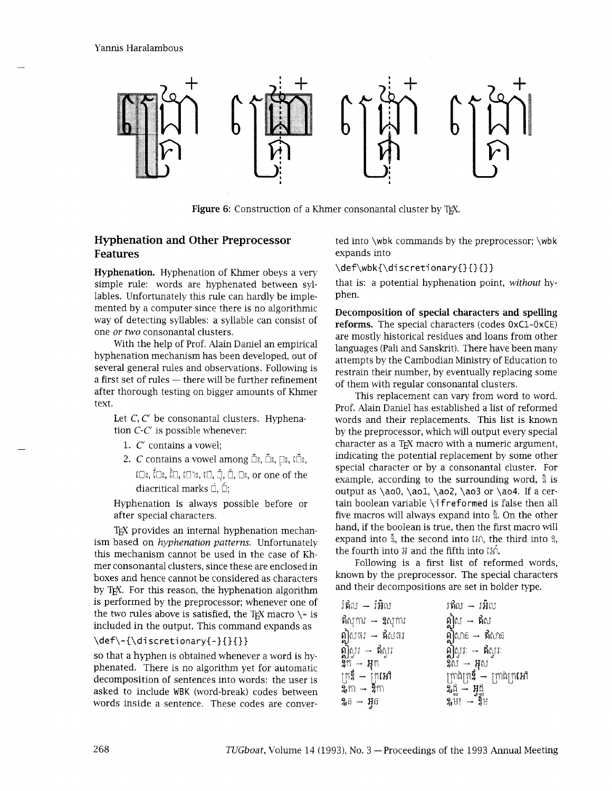Yannis Haralambous



**Figure 6:** Construction of a Khmer consonantal cluster by TEX.

# **Hyphenation and Other Preprocessor Features**

**Hyphenation.** Hyphenation of Khmer obeys a very simple rule: words are hyphenated between syllables. Unfortunately this rule can hardly be implemented by a computer since there is no algorithmic way of detecting syllables: a syllable can consist of one *or* **two** consonantal clusters.

With the help of Prof. Alain Daniel an empirical hyphenation mechanism has been developed, out of several general rules and observations. Following is<br>a first set of rules — there will be further refinement after thorough testing on bigger amounts of Khmer text.

Let *C*, *C'* be consonantal clusters. Hyphenation C-C' is possible whenever:

- 1. C' contains a vowel;
- 2. *C* contains a vowel among  $\hat{\Box}$ :,  $\hat{\Box}$ :,  $\Box$ :,  $\hat{\Box}$ :, to:, fa:, hl, ID%, a, *3,* t, Us, or one of the diacritical marks  $\Box$ .  $\Box$ :

Hyphenation is always possible before or after special characters.

T<sub>EX</sub> provides an internal hyphenation mechanism based on *hyphenation patterns.* Unfortunately this mechanism cannot be used in the case of Khmer consonantal clusters, since these are enclosed in boxes and hence cannot be considered as characters by T<sub>E</sub>X. For this reason, the hyphenation algorithm is performed by the preprocessor; whenever one of the two rules above is satisfied, the T<sub>E</sub>X macro  $\setminus$ - is included in the output. This command expands as

\def\-{\discretionary{-}{}{}}

so that a hyphen is obtained whenever a word is hyphenated. There is no algorithm yet for automatic decomposition of sentences into words: the user is asked to include WBK (word-break) codes between words inside a sentence. These codes are conver-

ted into \wbk commands by the preprocessor; \wbk expands into

#### \def\wbk{\discretionary{}{}{}}

that is: a potential hyphenation point, *without* hyphen.

**Decomposition of special characters and spelling reforms.** The special characters (codes OxC1-OxCE) are mostly historical residues and loans from other languages (Pali and Sanskrit). There have been many attempts by the Cambodian Ministry of Education to restrain their number, by eventually replacing some of them with regular consonantal clusters.

This replacement can vary from word to word. Prof. Alain Daniel has established a list of reformed words and their replacements. This list is known by the preprocessor, which will output every special character as a T<sub>F</sub>X macro with a numeric argument, indicating the potential replacement by some other special character or by a consonantal cluster. For example, according to the surrounding word,  $\frac{5}{4}$  is output as  $\a0$ ,  $\a01$ ,  $\a02$ ,  $\a03$  or  $\a04$ . If a certain boolean variable \if reformed is false then all five macros will always expand into *9.* On the other hand, if the boolean is true, then the first macro will expand into  $\hat{a}$ , the second into  $\hat{a}$ , the third into  $\hat{a}$ , the fourth into  $H$  and the fifth into  $H$ .

Following is a first list of reformed words, known by the preprocessor. The special characters and their decompositions are set in bolder type.

| វែសីល → រំអិល                     | វឥិល → វអិល                                           |
|-----------------------------------|-------------------------------------------------------|
| <b>ឥ</b> ស្ការ → <b>ឧ</b> ស្ការ   | ឦស → ឥស<br>ឦសាន → ឥសាន<br>ឦស្វរៈ → ឥស្វរៈ             |
| ឦសធរ → ឥសធរ<br>ឦស្វរ → ឥស្វរ      |                                                       |
|                                   |                                                       |
| 2ុក → អុក                         | 2្ស → អុស<br>ក្រុងក្រ <b>នី — ក្រា</b> ងក្រ <b>អោ</b> |
| ក្រ\$ → ក្រៃអៅ<br>೩៣ → <b>೩</b> ៣ | $\delta$ ជ្វី – អ្វិដ្ឋ                               |
| 2,6 → អ្ឫ                         | $2.5!$ $\rightarrow$ $25$                             |

 $\textbf{\textit{I}}% \hspace{-1pt}\textit{I} \textbf{\textit{I}}% \hspace{-1pt}\textit{I} \textbf{\textit{I}}% \hspace{-1pt}\textit{I} \textbf{\textit{I}}% \hspace{-1pt}\textit{I} \textbf{\textit{I}}% \hspace{-1pt}\textit{I} \textbf{\textit{I}}% \hspace{-1pt}\textit{I} \textbf{\textit{I}}% \hspace{-1pt}\textit{I} \textbf{\textit{I}}% \hspace{-1pt}\textit{I} \textbf{\textit{I}}% \hspace{-1pt}\textit{I} \textbf{\textit{I}}% \hspace{-1pt}\textit{I}$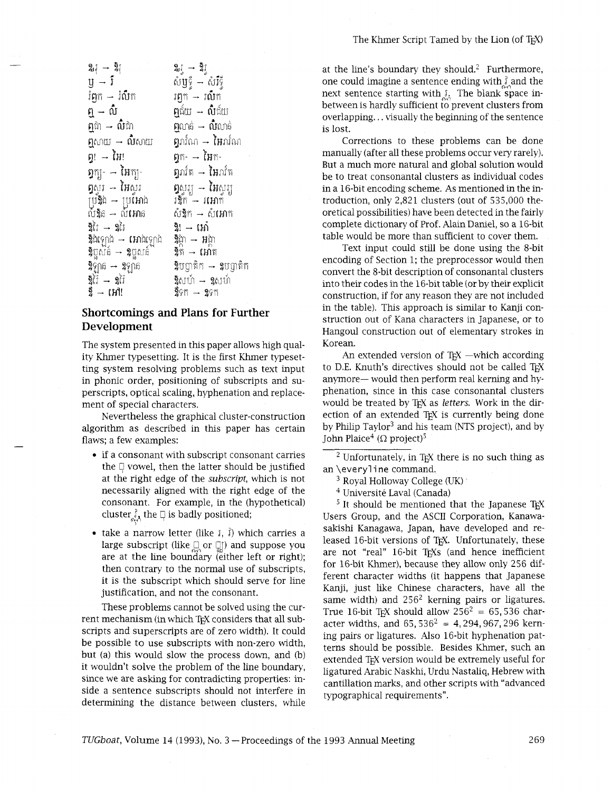| $2\mathfrak{z} \rightarrow 2\mathfrak{z}$      |                                                             |
|------------------------------------------------|-------------------------------------------------------------|
| $\mathfrak{y}\hspace{0.1em}$ – រឺ              | 2,្ទ → 2ិ្ទ<br>សំឫ្ទ → សំរឹទ្ធី                             |
| រំ <b>ព្</b> ក — រំលឹក                         | រឭក → រលីក                                                  |
| ឮ → លំ៎                                        | $\mathfrak{g}$ ជ័យ $\boldsymbol{\mathord{\text{--}}}$ លឺជ័យ |
| $\mathfrak{g}$ ង — លំដោ                        | $\mathfrak{g}$ លាន់ $\rightarrow$ <b>លិ</b> លាន់            |
| $\mathfrak{g}$ សាយ $\rightarrow$ <b>លិ</b> សាយ | <b>ឭ</b> រាវ៌ណ → <b>អៃ</b> រាវ៌ណ                            |
| ព្ទ! → ងៃ!                                     | $\mathfrak{g}$ ក- → អៃក-                                    |
| $\mathfrak{g}$ ក្យ- $\rightarrow$ អៃក្ប-       | <b>ឭ</b> រាវិត → <b>អៃ</b> រាវិត                            |
| <b>ឮ</b> ស្ងរ → <b>អៃ</b> ស្ងរ                 | <b>បិ</b> ហ្ស័ – <b>អៃ</b> ហ្ស័                             |
| ប្រឹ9ិ្និង → ប្រវែអាង<br>លំ9ិន → លំអោន         | វ9្វិក – រអោក                                               |
|                                                | សំ2ិ្ត → សំ <b>អោ</b> ក                                     |
| 9ิเัง → 9เัง                                   | វិ! → វេវា                                                  |
| $\frac{1}{2}$ ដំឡេង $\rightarrow$ អោងឡាង       | 9្គា → អង្កា                                                |
| <b>ឱ្</b> ពួសគំ → <b>ឧ</b> ព្ជសគំ              | ខ្ទិត → អោត                                                 |
| $\delta$ ឡាន $\rightarrow$ $\delta$ ឡាន        | $\overline{2}$ បព្វាតិក $\rightarrow$ $2$ បព្វាតិក          |
| ឱ្វរៃ → ខ្វរៃ<br>ខ្លឹ → អៅ!                    | <b>2ិ</b> សហ៍ → <b>2</b> សហ៍                                |
|                                                | 9ีGñ → 9Gñ                                                  |

# **Shortcomings and Plans for Further Development**

The system presented in this paper allows high quality Khmer typesetting. It is the first Khmer typesetting system resolving problems such as text input in phonic order, positioning of subscripts and superscripts, optical scaling, hyphenation and replacement of special characters.

Nevertheless the graphical cluster-construction algorithm as described in this paper has certain flaws; a few examples:

- if a consonant with subscript consonant carries the  $\Box$  vowel, then the latter should be justified at the right edge of the *subscript,* which is not necessarily aligned with the right edge of the consonant. For example, in the (hypothetical) cluster  $\frac{3}{800}$  the  $\Box$  is badly positioned;
- take a narrow letter (like 6, **f)** which carries a large subscript (like <sup>2</sup>) or <sup>1</sup><sup>2</sup>) and suppose you are at the line boundary (either left or right); then contrary to the normal use of subscripts, it is the subscript which should serve for line justification, and not the consonant.

These problems cannot be solved using the current mechanism (in which TEX considers that all subscripts and superscripts are of zero width). It could be possible to use subscripts with non-zero width, but (a) this would slow the process down, and  $(b)$ it wouldn't solve the problem of the line boundary, since we are asking for contradicting properties: inside a sentence subscripts should not interfere in determining the distance between clusters, while at the line's boundary they should.<sup>2</sup> Furthermore, one could imagine a sentence ending with  $\hat{j}$  and the next sentence starting with  $\delta$ . The blank space inbetween is hardly sufficient to prevent clusters from overlapping.. . visually the beginning of the sentence is lost.

Corrections to these problems can be done manually (after all these problems occur very rarely). But a much more natural and global solution would be to treat consonantal clusters as individual codes in a 16-bit encoding scheme. As mentioned in the introduction, only 2,821 clusters (out of 535,000 theoretical possibilities) have been detected in the fairly complete dictionary of Prof. Main Daniel, so a 16-bit table would be more than sufficient to cover them.

Text input could still be done using the 8-bit encoding of Section 1; the preprocessor would then convert the 8-bit description of consonantal clusters into their codes in the 16-bit table (or by their explicit construction, if for any reason they are not included in the table). This approach is similar to Kanji construction out of Kana characters in Japanese, or to Hangoul construction out of elementary strokes in Korean.

An extended version of  $T_{F}X$  -which according to D.E. Knuth's directives should not be called TrX anymore- would then perform real kerning and hyphenation, since in this case consonantal clusters would be treated by T<sub>F</sub>X as *letters*. Work in the direction of an extended T<sub>EX</sub> is currently being done by Philip  $Taylor<sup>3</sup>$  and his team (NTS project), and by John Plaice<sup>4</sup> ( $\Omega$  project)<sup>5</sup>

 $2$  Unfortunately, in TEX there is no such thing as an \everyline command.

<sup>3</sup> Royal Holloway College (UK)

<sup>4</sup> Université Laval (Canada)

 $<sup>5</sup>$  It should be mentioned that the Japanese T<sub>EX</sub></sup> Users Group, and the ASCII Corporation, Kanawasakishi Kanagawa, Japan, have developed and released 16-bit versions of T<sub>F</sub>X. Unfortunately, these are not "real" 16-bit TFXs (and hence inefficient for 16-bit Khmer), because they allow only 256 different character widths (it happens that Japanese Kanji, just like Chinese characters, have all the same width) and  $256<sup>2</sup>$  kerning pairs or ligatures. True 16-bit T<sub>EX</sub> should allow  $256^2 = 65,536$  character widths, and  $65,536^2 = 4,294,967,296$  kerning pairs or ligatures. Also 16-bit hyphenation patterns should be possible. Besides Khmer, such an extended TFX version would be extremely useful for ligatured Arabic Naskhi, Urdu Nastaliq, Hebrew with cantillation marks, and other scripts with "advanced typographical requirements".

*TUGboat, Volume 14 (1993), No. 3 – Proceedings of the 1993 Annual Meeting*